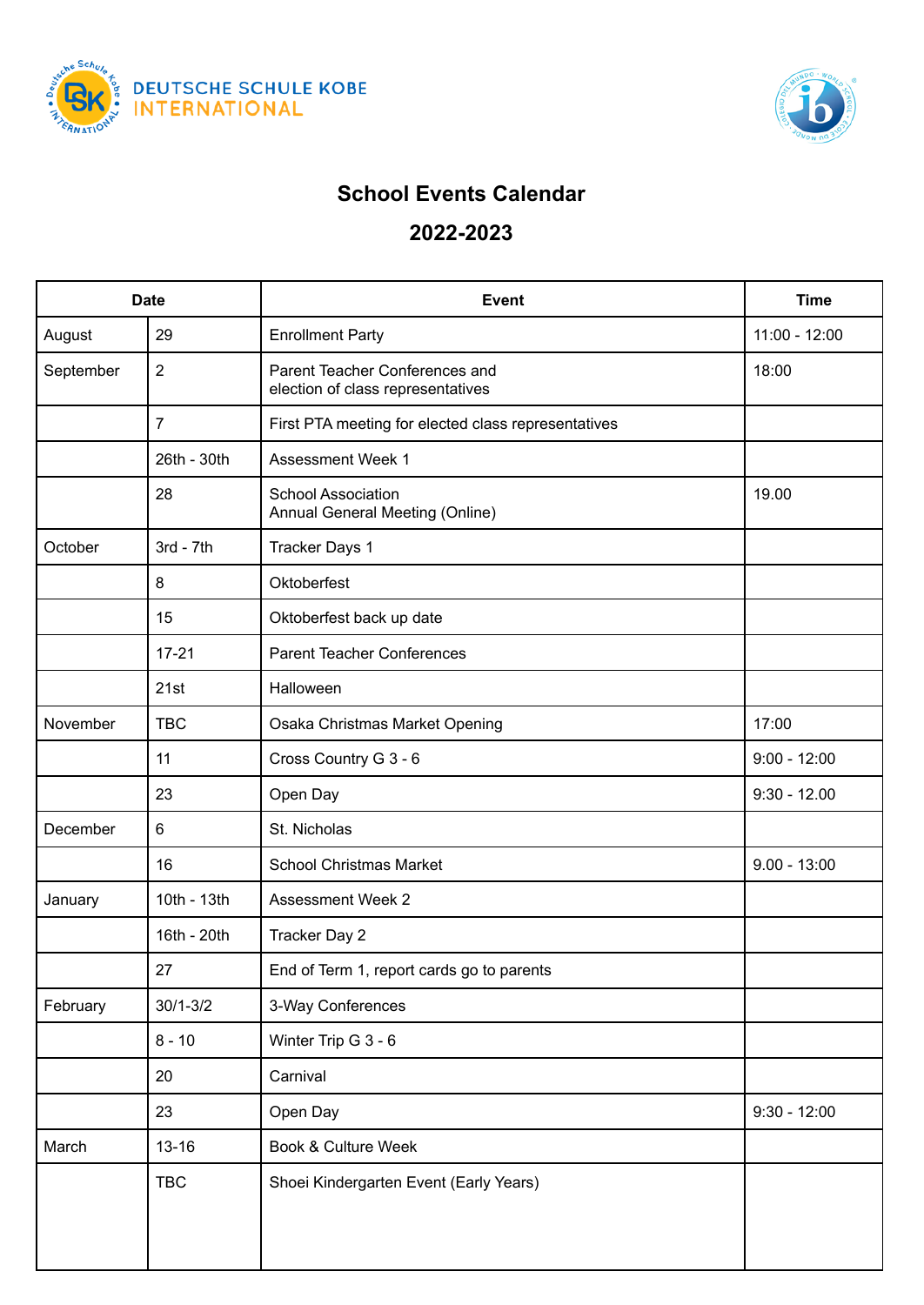



## **School Events Calendar**

## **2022-2023**

| <b>Date</b> |                | <b>Event</b>                                                        | <b>Time</b>    |
|-------------|----------------|---------------------------------------------------------------------|----------------|
| August      | 29             | <b>Enrollment Party</b>                                             | 11:00 - 12:00  |
| September   | $\overline{2}$ | Parent Teacher Conferences and<br>election of class representatives | 18:00          |
|             | $\overline{7}$ | First PTA meeting for elected class representatives                 |                |
|             | 26th - 30th    | <b>Assessment Week 1</b>                                            |                |
|             | 28             | <b>School Association</b><br>Annual General Meeting (Online)        | 19.00          |
| October     | $3rd - 7th$    | <b>Tracker Days 1</b>                                               |                |
|             | 8              | Oktoberfest                                                         |                |
|             | 15             | Oktoberfest back up date                                            |                |
|             | $17 - 21$      | <b>Parent Teacher Conferences</b>                                   |                |
|             | 21st           | Halloween                                                           |                |
| November    | <b>TBC</b>     | Osaka Christmas Market Opening                                      | 17:00          |
|             | 11             | Cross Country G 3 - 6                                               | $9:00 - 12:00$ |
|             | 23             | Open Day                                                            | $9:30 - 12.00$ |
| December    | 6              | St. Nicholas                                                        |                |
|             | 16             | <b>School Christmas Market</b>                                      | $9.00 - 13:00$ |
| January     | 10th - 13th    | <b>Assessment Week 2</b>                                            |                |
|             | 16th - 20th    | Tracker Day 2                                                       |                |
|             | 27             | End of Term 1, report cards go to parents                           |                |
| February    | $30/1 - 3/2$   | 3-Way Conferences                                                   |                |
|             | $8 - 10$       | Winter Trip G 3 - 6                                                 |                |
|             | 20             | Carnival                                                            |                |
|             | 23             | Open Day                                                            | $9:30 - 12:00$ |
| March       | $13 - 16$      | Book & Culture Week                                                 |                |
|             | <b>TBC</b>     | Shoei Kindergarten Event (Early Years)                              |                |